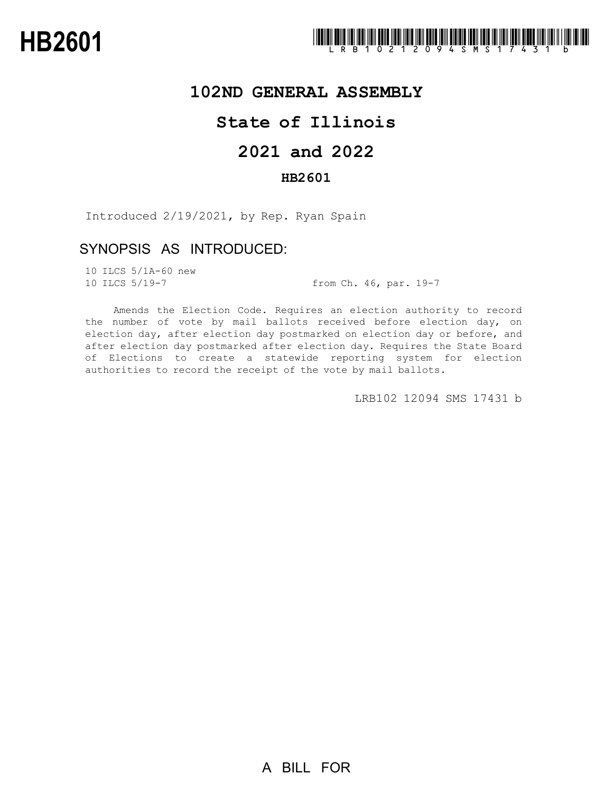

### **102ND GENERAL ASSEMBLY**

# **State of Illinois**

# **2021 and 2022**

### **HB2601**

Introduced 2/19/2021, by Rep. Ryan Spain

### SYNOPSIS AS INTRODUCED:

10 ILCS 5/1A-60 new

10 ILCS 5/19-7 from Ch. 46, par. 19-7

Amends the Election Code. Requires an election authority to record the number of vote by mail ballots received before election day, on election day, after election day postmarked on election day or before, and after election day postmarked after election day. Requires the State Board of Elections to create a statewide reporting system for election authorities to record the receipt of the vote by mail ballots.

LRB102 12094 SMS 17431 b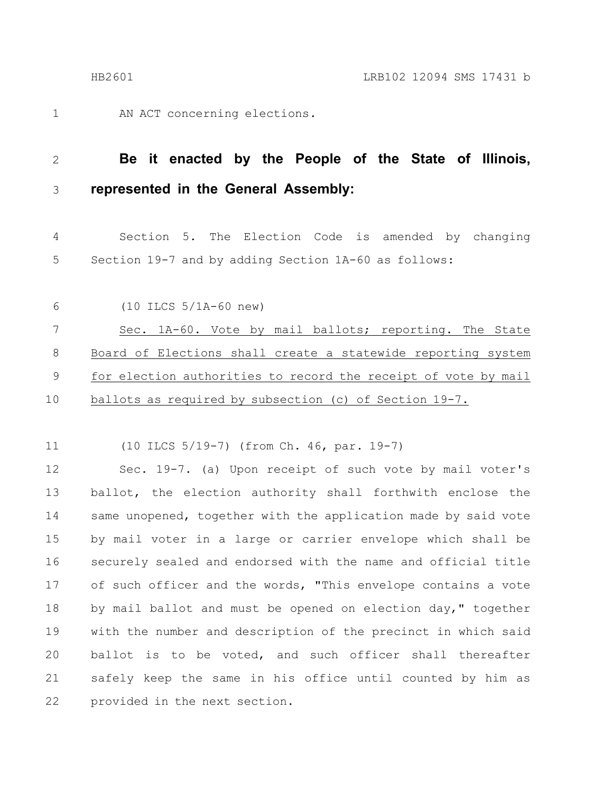1

AN ACT concerning elections.

#### **Be it enacted by the People of the State of Illinois, represented in the General Assembly:** 2 3

Section 5. The Election Code is amended by changing Section 19-7 and by adding Section 1A-60 as follows: 4 5

(10 ILCS 5/1A-60 new) 6

Sec. 1A-60. Vote by mail ballots; reporting. The State Board of Elections shall create a statewide reporting system for election authorities to record the receipt of vote by mail ballots as required by subsection (c) of Section 19-7. 7 8 9 10

(10 ILCS 5/19-7) (from Ch. 46, par. 19-7) 11

Sec. 19-7. (a) Upon receipt of such vote by mail voter's ballot, the election authority shall forthwith enclose the same unopened, together with the application made by said vote by mail voter in a large or carrier envelope which shall be securely sealed and endorsed with the name and official title of such officer and the words, "This envelope contains a vote by mail ballot and must be opened on election day," together with the number and description of the precinct in which said ballot is to be voted, and such officer shall thereafter safely keep the same in his office until counted by him as provided in the next section. 12 13 14 15 16 17 18 19 20 21 22